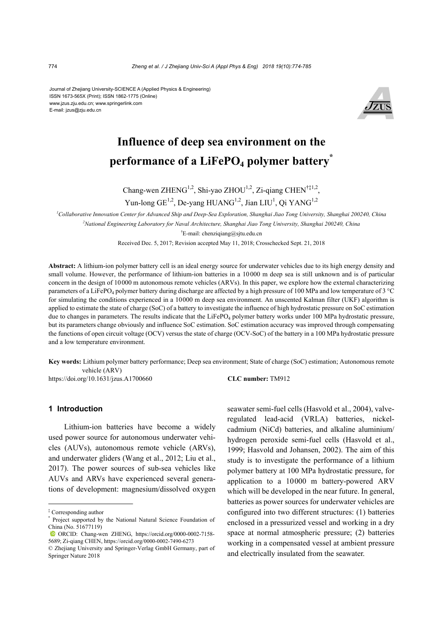#### Journal of Zhejiang University-SCIENCE A (Applied Physics & Engineering) ISSN 1673-565X (Print); ISSN 1862-1775 (Online) www.jzus.zju.edu.cn; www.springerlink.com E-mail: jzus@zju.edu.cn



# **Influence of deep sea environment on the performance of a LiFePO<sub>4</sub> polymer battery<sup>\*</sup>**

Chang-wen ZHENG<sup>1,2</sup>, Shi-yao ZHOU<sup>1,2</sup>, Zi-qiang CHEN<sup>†‡1,2</sup>, Yun-long  $GE^{1,2}$ , De-yang HUANG<sup>1,2</sup>, Jian LIU<sup>1</sup>, Qi YANG<sup>1,2</sup>

*1 Collaborative Innovation Center for Advanced Ship and Deep-Sea Exploration, Shanghai Jiao Tong University, Shanghai 200240, China 2 National Engineering Laboratory for Naval Architecture, Shanghai Jiao Tong University, Shanghai 200240, China*  † E-mail: chenziqiang@sjtu.edu.cn Received Dec. 5, 2017; Revision accepted May 11, 2018; Crosschecked Sept. 21, 2018

**Abstract:** A lithium-ion polymer battery cell is an ideal energy source for underwater vehicles due to its high energy density and small volume. However, the performance of lithium-ion batteries in a 10000 m deep sea is still unknown and is of particular concern in the design of 10000 m autonomous remote vehicles (ARVs). In this paper, we explore how the external characterizing parameters of a LiFePO<sub>4</sub> polymer battery during discharge are affected by a high pressure of 100 MPa and low temperature of 3 °C for simulating the conditions experienced in a 10000 m deep sea environment. An unscented Kalman filter (UKF) algorithm is applied to estimate the state of charge (SoC) of a battery to investigate the influence of high hydrostatic pressure on SoC estimation due to changes in parameters. The results indicate that the LiFePO<sub>4</sub> polymer battery works under 100 MPa hydrostatic pressure, but its parameters change obviously and influence SoC estimation. SoC estimation accuracy was improved through compensating the functions of open circuit voltage (OCV) versus the state of charge (OCV-SoC) of the battery in a 100 MPa hydrostatic pressure and a low temperature environment.

**Key words:** Lithium polymer battery performance; Deep sea environment; State of charge (SoC) estimation; Autonomous remote vehicle (ARV)

https://doi.org/10.1631/jzus.A1700660 **CLC number:** TM912

#### **1 Introduction**

Lithium-ion batteries have become a widely used power source for autonomous underwater vehicles (AUVs), autonomous remote vehicle (ARVs), and underwater gliders (Wang et al., 2012; Liu et al., 2017). The power sources of sub-sea vehicles like AUVs and ARVs have experienced several generations of development: magnesium/dissolved oxygen

seawater semi-fuel cells (Hasvold et al., 2004), valveregulated lead-acid (VRLA) batteries, nickelcadmium (NiCd) batteries, and alkaline aluminium/ hydrogen peroxide semi-fuel cells (Hasvold et al., 1999; Hasvold and Johansen, 2002). The aim of this study is to investigate the performance of a lithium polymer battery at 100 MPa hydrostatic pressure, for application to a 10000 m battery-powered ARV which will be developed in the near future. In general, batteries as power sources for underwater vehicles are configured into two different structures: (1) batteries enclosed in a pressurized vessel and working in a dry space at normal atmospheric pressure; (2) batteries working in a compensated vessel at ambient pressure and electrically insulated from the seawater.

<sup>‡</sup> Corresponding author

<sup>\*</sup> Project supported by the National Natural Science Foundation of China (No. 51677119)

ORCID: Chang-wen ZHENG, https://orcid.org/0000-0002-7158- 5689; Zi-qiang CHEN, https://orcid.org/0000-0002-7490-6273

<sup>©</sup> Zhejiang University and Springer-Verlag GmbH Germany, part of Springer Nature 2018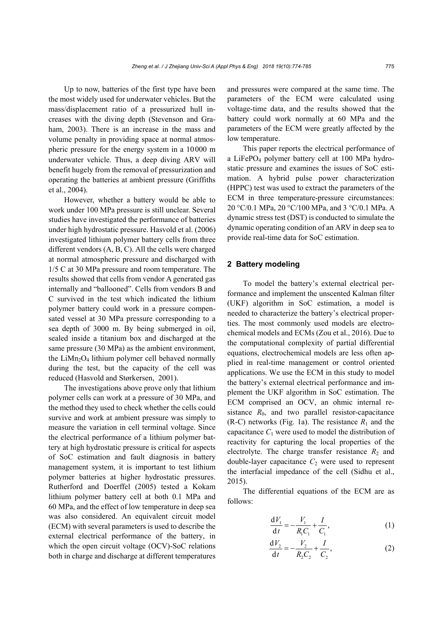Up to now, batteries of the first type have been the most widely used for underwater vehicles. But the mass/displacement ratio of a pressurized hull increases with the diving depth (Stevenson and Graham, 2003). There is an increase in the mass and volume penalty in providing space at normal atmospheric pressure for the energy system in a 10000 m underwater vehicle. Thus, a deep diving ARV will benefit hugely from the removal of pressurization and operating the batteries at ambient pressure (Griffiths et al., 2004).

However, whether a battery would be able to work under 100 MPa pressure is still unclear. Several studies have investigated the performance of batteries under high hydrostatic pressure. Hasvold et al. (2006) investigated lithium polymer battery cells from three different vendors (A, B, C). All the cells were charged at normal atmospheric pressure and discharged with 1/5 C at 30 MPa pressure and room temperature. The results showed that cells from vendor A generated gas internally and "ballooned". Cells from vendors B and C survived in the test which indicated the lithium polymer battery could work in a pressure compensated vessel at 30 MPa pressure corresponding to a sea depth of 3000 m. By being submerged in oil, sealed inside a titanium box and discharged at the same pressure (30 MPa) as the ambient environment, the  $LiMn<sub>2</sub>O<sub>4</sub>$  lithium polymer cell behaved normally during the test, but the capacity of the cell was reduced (Hasvold and Størkersen, 2001).

The investigations above prove only that lithium polymer cells can work at a pressure of 30 MPa, and the method they used to check whether the cells could survive and work at ambient pressure was simply to measure the variation in cell terminal voltage. Since the electrical performance of a lithium polymer battery at high hydrostatic pressure is critical for aspects of SoC estimation and fault diagnosis in battery management system, it is important to test lithium polymer batteries at higher hydrostatic pressures. Rutherford and Doerffel (2005) tested a Kokam lithium polymer battery cell at both 0.1 MPa and 60 MPa, and the effect of low temperature in deep sea was also considered. An equivalent circuit model (ECM) with several parameters is used to describe the external electrical performance of the battery, in which the open circuit voltage (OCV)-SoC relations both in charge and discharge at different temperatures and pressures were compared at the same time. The parameters of the ECM were calculated using voltage-time data, and the results showed that the battery could work normally at 60 MPa and the parameters of the ECM were greatly affected by the low temperature.

This paper reports the electrical performance of a LiFePO4 polymer battery cell at 100 MPa hydrostatic pressure and examines the issues of SoC estimation. A hybrid pulse power characterization (HPPC) test was used to extract the parameters of the ECM in three temperature-pressure circumstances: 20 °C/0.1 MPa, 20 °C/100 MPa, and 3 °C/0.1 MPa. A dynamic stress test (DST) is conducted to simulate the dynamic operating condition of an ARV in deep sea to provide real-time data for SoC estimation.

# **2 Battery modeling**

To model the battery's external electrical performance and implement the unscented Kalman filter (UKF) algorithm in SoC estimation, a model is needed to characterize the battery's electrical properties. The most commonly used models are electrochemical models and ECMs (Zou et al., 2016). Due to the computational complexity of partial differential equations, electrochemical models are less often applied in real-time management or control oriented applications. We use the ECM in this study to model the battery's external electrical performance and implement the UKF algorithm in SoC estimation. The ECM comprised an OCV, an ohmic internal resistance  $R_0$ , and two parallel resistor-capacitance (R-C) networks (Fig. 1a). The resistance  $R_1$  and the capacitance  $C_1$  were used to model the distribution of reactivity for capturing the local properties of the electrolyte. The charge transfer resistance  $R_2$  and double-layer capacitance  $C_2$  were used to represent the interfacial impedance of the cell (Sidhu et al., 2015).

The differential equations of the ECM are as follows:

$$
\frac{dV_1}{dt} = -\frac{V_1}{R_1 C_1} + \frac{I}{C_1},
$$
\n(1)

$$
\frac{dV_2}{dt} = -\frac{V_2}{R_2C_2} + \frac{I}{C_2},
$$
 (2)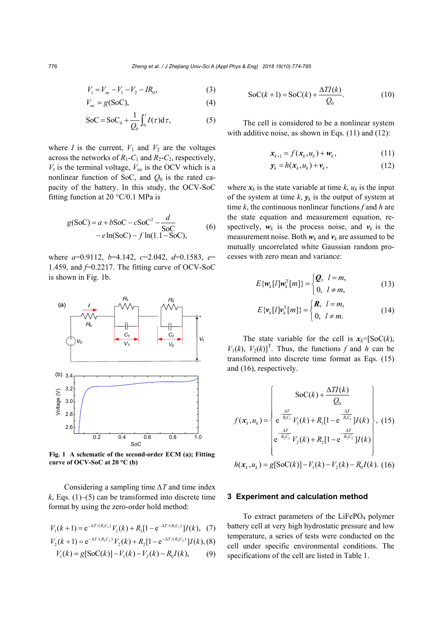776 *Zheng et al. / J Zhejiang Univ-Sci A (Appl Phys & Eng) 2018 19(10):774-785*

$$
V_{t} = V_{\infty} - V_{1} - V_{2} - IR_{0}, \qquad (3)
$$

$$
V_{\infty} = g(SoC), \tag{4}
$$

$$
\text{SoC} = \text{SoC}_0 + \frac{1}{Q_0} \int_0^t I(\tau) \, \mathrm{d}\tau,\tag{5}
$$

where *I* is the current,  $V_1$  and  $V_2$  are the voltages across the networks of  $R_1$ - $C_1$  and  $R_2$ - $C_2$ , respectively,  $V_t$  is the terminal voltage,  $V_{\text{oc}}$  is the OCV which is a nonlinear function of SoC, and  $Q_0$  is the rated capacity of the battery. In this study, the OCV-SoC fitting function at 20  $\degree$ C/0.1 MPa is

$$
g(SoC) = a + bSoC - cSoC2 - \frac{d}{SoC}
$$
  
- e ln(SoC) - f ln(1.1 - SoC), (6)

where *a*=0.9112, *b*=4.142, *c*=2.042, *d*=0.1583, *e*= 1.459, and  $f=0.2217$ . The fitting curve of OCV-SoC is shown in Fig. 1b.



**Fig. 1 A schematic of the second-order ECM (a); Fitting curve of OCV-SoC at 20 °C (b)**

Considering a sampling time *∆T* and time index  $k$ , Eqs. (1)–(5) can be transformed into discrete time format by using the zero-order hold method:

$$
V_1(k+1) = e^{-\Delta T/(R_1 C_1)} V_1(k) + R_1 [1 - e^{-\Delta T/(R_1 C_1)}] I(k), (7)
$$

$$
V_2(k+1) = e^{-\Delta T/(R_2 C_2)} V_2(k) + R_2 [1 - e^{-\Delta T/(R_2 C_2)}] I(k), (8)
$$

$$
V_{t}(k) = g[SoC(k)] - V_{1}(k) - V_{2}(k) - R_{0}I(k), \qquad (9)
$$

$$
SoC(k+1) = SoC(k) + \frac{\Delta TI(k)}{Q_0}.
$$
 (10)

The cell is considered to be a nonlinear system with additive noise, as shown in Eqs. (11) and (12):

$$
\mathbf{x}_{k+1} = f(\mathbf{x}_k, u_k) + \mathbf{w}_k, \tag{11}
$$

$$
\mathbf{y}_k = h(\mathbf{x}_k, u_k) + \mathbf{v}_k, \tag{12}
$$

where  $x_k$  is the state variable at time  $k$ ,  $u_k$  is the input of the system at time  $k$ ,  $y_k$  is the output of system at time *k*, the continuous nonlinear functions *f* and *h* are the state equation and measurement equation, respectively,  $w_k$  is the process noise, and  $v_k$  is the measurement noise. Both  $w_k$  and  $v_k$  are assumed to be mutually uncorrelated white Gaussian random processes with zero mean and variance:

$$
E\{\boldsymbol{w}_k[l]\boldsymbol{w}_k^{\mathrm{T}}[m]\} = \begin{cases} \boldsymbol{Q}, & l = m, \\ 0, & l \neq m, \end{cases}
$$
 (13)

$$
E\{\boldsymbol{\nu}_k[I]\boldsymbol{\nu}_k^{\mathrm{T}}[m]\} = \begin{cases} \boldsymbol{R}, & l = m, \\ 0, & l \neq m. \end{cases}
$$
 (14)

The state variable for the cell is  $x_k = [S_0C(k)]$ ,  $V_1(k)$ ,  $V_2(k)$ <sup>T</sup>. Thus, the functions *f* and *h* can be transformed into discrete time format as Eqs. (15) and (16), respectively.

$$
f(\mathbf{x}_{k}, u_{k}) = \begin{cases} \n\text{SoC}(k) + \frac{\Delta TI(k)}{Q_{0}}\\ \ne^{\frac{\Delta T}{R_{1}C_{1}}} V_{1}(k) + R_{1}[1 - e^{\frac{-\Delta T}{R_{1}C_{1}}} ]I(k) \\ \ne^{\frac{-\Delta T}{R_{2}C_{2}}} V_{2}(k) + R_{2}[1 - e^{\frac{-\Delta T}{R_{2}C_{2}}} ]I(k) \n\end{cases}, (15)
$$
  
\n
$$
h(\mathbf{x}_{k}, u_{k}) = g[\text{SoC}(k)] - V_{1}(k) - V_{2}(k) - R_{0}I(k). (16)
$$

#### **3 Experiment and calculation method**

To extract parameters of the LiFePO<sub>4</sub> polymer battery cell at very high hydrostatic pressure and low temperature, a series of tests were conducted on the cell under specific environmental conditions. The specifications of the cell are listed in Table 1.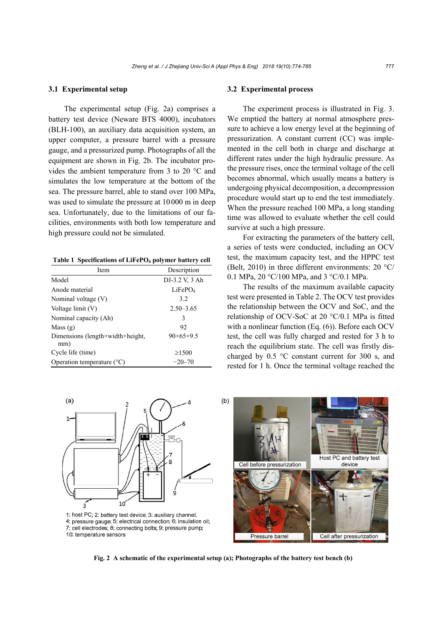#### **3.1 Experimental setup**

The experimental setup (Fig. 2a) comprises a battery test device (Neware BTS 4000), incubators (BLH-100), an auxiliary data acquisition system, an upper computer, a pressure barrel with a pressure gauge, and a pressurized pump. Photographs of all the equipment are shown in Fig. 2b. The incubator provides the ambient temperature from 3 to 20 °C and simulates the low temperature at the bottom of the sea. The pressure barrel, able to stand over 100 MPa, was used to simulate the pressure at 10000 m in deep sea. Unfortunately, due to the limitations of our facilities, environments with both low temperature and high pressure could not be simulated.

#### Table 1 Specifications of LiFePO<sub>4</sub> polymer battery cell

| Item                                                      | Description            |  |  |
|-----------------------------------------------------------|------------------------|--|--|
| Model                                                     | DJ-3.2 V, 3 Ah         |  |  |
| Anode material                                            | LiFePO <sub>4</sub>    |  |  |
| Nominal voltage (V)                                       | 32                     |  |  |
| Voltage limit (V)                                         | $2.50 - 3.65$          |  |  |
| Nominal capacity (Ah)                                     | 3                      |  |  |
| Mass(g)                                                   | 92                     |  |  |
| Dimensions (length $\times$ width $\times$ height,<br>mm) | $90\times 65\times 95$ |  |  |
| Cycle life (time)                                         | $\geq 1500$            |  |  |
| Operation temperature $(^{\circ}C)$                       | $-20-70$               |  |  |

#### **3.2 Experimental process**

The experiment process is illustrated in Fig. 3. We emptied the battery at normal atmosphere pressure to achieve a low energy level at the beginning of pressurization. A constant current (CC) was implemented in the cell both in charge and discharge at different rates under the high hydraulic pressure. As the pressure rises, once the terminal voltage of the cell becomes abnormal, which usually means a battery is undergoing physical decomposition, a decompression procedure would start up to end the test immediately. When the pressure reached 100 MPa, a long standing time was allowed to evaluate whether the cell could survive at such a high pressure.

For extracting the parameters of the battery cell, a series of tests were conducted, including an OCV test, the maximum capacity test, and the HPPC test (Belt, 2010) in three different environments: 20 °C/ 0.1 MPa, 20 °C/100 MPa, and 3 °C/0.1 MPa.

The results of the maximum available capacity test were presented in Table 2. The OCV test provides the relationship between the OCV and SoC, and the relationship of OCV-SoC at 20 °C/0.1 MPa is fitted with a nonlinear function (Eq. (6)). Before each OCV test, the cell was fully charged and rested for 3 h to reach the equilibrium state. The cell was firstly discharged by 0.5 °C constant current for 300 s, and rested for 1 h. Once the terminal voltage reached the



**Fig. 2 A schematic of the experimental setup (a); Photographs of the battery test bench (b)**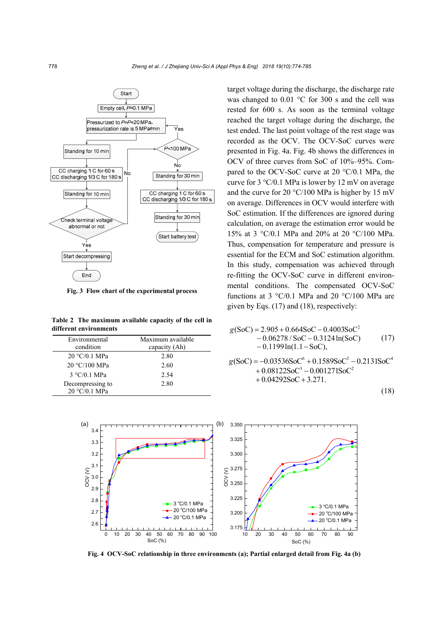

**Fig. 3 Flow chart of the experimental process** 

**Table 2 The maximum available capacity of the cell in different environments** 

| Maximum available<br>capacity (Ah) |  |
|------------------------------------|--|
| 2.80                               |  |
| 2.60                               |  |
| 2.54                               |  |
| 2.80                               |  |
|                                    |  |

target voltage during the discharge, the discharge rate was changed to 0.01 °C for 300 s and the cell was rested for 600 s. As soon as the terminal voltage reached the target voltage during the discharge, the test ended. The last point voltage of the rest stage was recorded as the OCV. The OCV-SoC curves were presented in Fig. 4a. Fig. 4b shows the differences in OCV of three curves from SoC of 10%–95%. Compared to the OCV-SoC curve at 20 °C/0.1 MPa, the curve for 3 °C/0.1 MPa is lower by 12 mV on average and the curve for 20 °C/100 MPa is higher by 15 mV on average. Differences in OCV would interfere with SoC estimation. If the differences are ignored during calculation, on average the estimation error would be 15% at 3 °C/0.1 MPa and 20% at 20 °C/100 MPa. Thus, compensation for temperature and pressure is essential for the ECM and SoC estimation algorithm. In this study, compensation was achieved through re-fitting the OCV-SoC curve in different environmental conditions. The compensated OCV-SoC functions at 3  $\degree$ C/0.1 MPa and 20  $\degree$ C/100 MPa are given by Eqs. (17) and (18), respectively:

$$
g(SoC) = 2.905 + 0.664SoC - 0.4003SoC2- 0.06278 / SoC - 0.3124 ln(SoC) - 0.1199 ln(1.1 - SoC),
$$
 (17)

$$
g(SoC) = -0.03536SoC6 + 0.1589SoC5 - 0.2131SoC4+ 0.08122SoC3 - 0.001271SoC2+ 0.04292SoC + 3.271.
$$

$$
(18)
$$



**Fig. 4 OCV-SoC relationship in three environments (a); Partial enlarged detail from Fig. 4a (b)**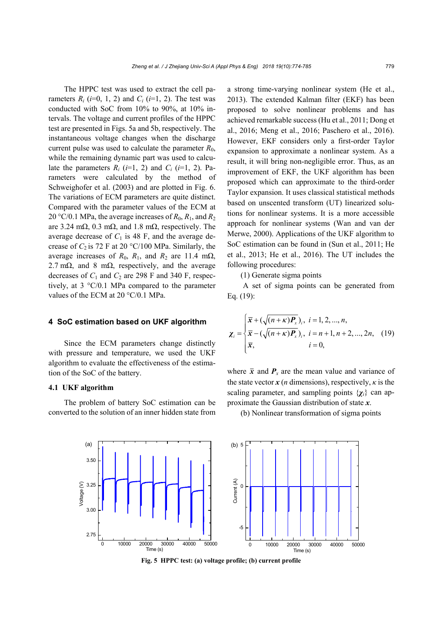The HPPC test was used to extract the cell parameters  $R_i$  ( $i=0, 1, 2$ ) and  $C_i$  ( $i=1, 2$ ). The test was conducted with SoC from 10% to 90%, at 10% intervals. The voltage and current profiles of the HPPC test are presented in Figs. 5a and 5b, respectively. The instantaneous voltage changes when the discharge current pulse was used to calculate the parameter  $R_0$ , while the remaining dynamic part was used to calculate the parameters  $R_i$  ( $i=1, 2$ ) and  $C_i$  ( $i=1, 2$ ). Parameters were calculated by the method of Schweighofer et al. (2003) and are plotted in Fig. 6. The variations of ECM parameters are quite distinct. Compared with the parameter values of the ECM at 20 °C/0.1 MPa, the average increases of  $R_0$ ,  $R_1$ , and  $R_2$ are 3.24 m $\Omega$ , 0.3 m $\Omega$ , and 1.8 m $\Omega$ , respectively. The average decrease of  $C_1$  is 48 F, and the average decrease of  $C_2$  is 72 F at 20 °C/100 MPa. Similarly, the average increases of  $R_0$ ,  $R_1$ , and  $R_2$  are 11.4 m $\Omega$ , 2.7 m $\Omega$ , and 8 m $\Omega$ , respectively, and the average decreases of  $C_1$  and  $C_2$  are 298 F and 340 F, respectively, at 3 °C/0.1 MPa compared to the parameter values of the ECM at 20 °C/0.1 MPa.

#### **4 SoC estimation based on UKF algorithm**

Since the ECM parameters change distinctly with pressure and temperature, we used the UKF algorithm to evaluate the effectiveness of the estimation of the SoC of the battery.

#### **4.1 UKF algorithm**

The problem of battery SoC estimation can be converted to the solution of an inner hidden state from a strong time-varying nonlinear system (He et al., 2013). The extended Kalman filter (EKF) has been proposed to solve nonlinear problems and has achieved remarkable success (Hu et al., 2011; Dong et al., 2016; Meng et al., 2016; Paschero et al., 2016). However, EKF considers only a first-order Taylor expansion to approximate a nonlinear system. As a result, it will bring non-negligible error. Thus, as an improvement of EKF, the UKF algorithm has been proposed which can approximate to the third-order Taylor expansion. It uses classical statistical methods based on unscented transform (UT) linearized solutions for nonlinear systems. It is a more accessible approach for nonlinear systems (Wan and van der Merwe, 2000). Applications of the UKF algorithm to SoC estimation can be found in (Sun et al., 2011; He et al., 2013; He et al., 2016). The UT includes the following procedures:

(1) Generate sigma points

A set of sigma points can be generated from Eq. (19):

$$
\chi_{i} = \begin{cases} \overline{x} + (\sqrt{(n + \kappa)P_{x}})_{i}, \ i = 1, 2, ..., n, \\ \overline{x} - (\sqrt{(n + \kappa)P_{x}})_{i}, \ i = n + 1, n + 2, ..., 2n, \\ \overline{x}, \quad i = 0, \end{cases}
$$
(19)

where  $\bar{x}$  and  $P_x$  are the mean value and variance of the state vector  $x$  (*n* dimensions), respectively,  $\kappa$  is the scaling parameter, and sampling points  $\{\chi_i\}$  can approximate the Gaussian distribution of state *x*.

(b) Nonlinear transformation of sigma points



**Fig. 5 HPPC test: (a) voltage profile; (b) current profile**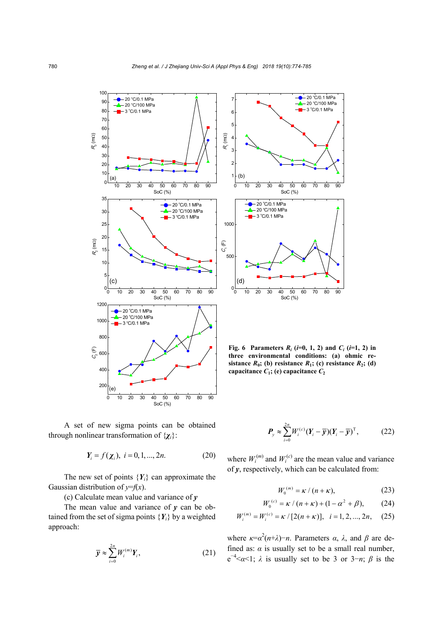7



0 10 20 30 40 50 60 70 80 90 1 2 3 4 5 6 0 10 20 30 40 50 60 70 80 90  $0<sub>0</sub>$ 500 1000 20 °C/0.1 MPa 20 °C/100 MPa - 3 °C/0.1 MPa 3 °C/0.1 MPa  $(b)$  $R<sub>1</sub>$  (m $\Omega$ ) SoC (%) C 1 (F) SoC (%)

20 °C/0.1 MPa 20 °C/100 MPa

**Fig. 6 Parameters**  $R_i$  **(** $i=0, 1, 2$ **) and**  $C_i$  **(** $i=1, 2$ **) in three environmental conditions: (a) ohmic resistance**  $R_0$ ; (b) resistance  $R_1$ ; (c) resistance  $R_2$ ; (d) capacitance  $C_1$ ; (e) capacitance  $C_2$ 

0

*W*

of *y*, respectively, which can be calculated from:

A set of new sigma points can be obtained through nonlinear transformation of {*χi*}:

$$
Y_i = f(\chi_i), \ i = 0, 1, ..., 2n.
$$
 (20)

The new set of points  ${Y_i}$  can approximate the Gaussian distribution of  $y=f(x)$ .

(c) Calculate mean value and variance of *y*

The mean value and variance of *y* can be obtained from the set of sigma points  ${Y_i}$  by a weighted approach:

$$
\overline{\mathbf{y}} \approx \sum_{i=0}^{2n} W_i^{(m)} \mathbf{Y}_i, \tag{21}
$$

where  $W_i^{(m)}$  and  $W_i^{(c)}$  are the mean value and variance

 $P_y \approx \sum_{i=0} W_i^{(c)} (Y_i - \overline{y}) (Y_i - \overline{y})^T,$  (22)

 $\sum_{\mathbf{W}}^{2n} W^{(c)}(\mathbf{V} - \overline{\mathbf{w}}) (\mathbf{V} - \overline{\mathbf{w}})^{\mathrm{T}}$ 

 $\mathbf{P}_{y} \approx \sum_{i=0}^{2n} W_{i}^{(c)} (\mathbf{Y}_{i} - \overline{\mathbf{y}}) (\mathbf{Y}_{i} - \overline{\mathbf{y}})^{\mathrm{T}},$ 

$$
W_0^{(m)} = \kappa / (n + \kappa), \qquad (23)
$$

$$
W_0^{(c)} = \kappa / (n + \kappa) + (1 - \alpha^2 + \beta), \qquad (24)
$$

$$
W_i^{(m)} = W_i^{(c)} = \kappa / [2(n + \kappa)], \quad i = 1, 2, ..., 2n, \quad (25)
$$

where  $κ = α<sup>2</sup>(n+λ)−n$ . Parameters *α*, *λ*, and *β* are defined as:  $\alpha$  is usually set to be a small real number,  $e^{-4} < \alpha < 1$ ;  $\lambda$  is usually set to be 3 or 3-*n*;  $\beta$  is the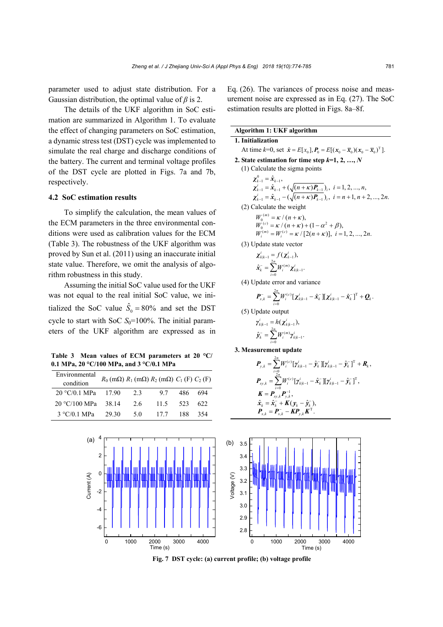parameter used to adjust state distribution. For a Gaussian distribution, the optimal value of *β* is 2.

The details of the UKF algorithm in SoC estimation are summarized in Algorithm 1. To evaluate the effect of changing parameters on SoC estimation, a dynamic stress test (DST) cycle was implemented to simulate the real charge and discharge conditions of the battery. The current and terminal voltage profiles of the DST cycle are plotted in Figs. 7a and 7b, respectively.

## **4.2 SoC estimation results**

To simplify the calculation, the mean values of the ECM parameters in the three environmental conditions were used as calibration values for the ECM (Table 3). The robustness of the UKF algorithm was proved by Sun et al. (2011) using an inaccurate initial state value. Therefore, we omit the analysis of algorithm robustness in this study.

Assuming the initial SoC value used for the UKF was not equal to the real initial SoC value, we initialized the SoC value  $\hat{S}_0 = 80\%$  and set the DST cycle to start with SoC  $S_0$ =100%. The initial parameters of the UKF algorithm are expressed as in

**Table 3 Mean values of ECM parameters at 20 °C/ 0.1 MPa, 20 °C/100 MPa, and 3 °C/0.1 MPa** 

| Environmental<br>condition | $R_0$ (m $\Omega$ ) $R_1$ (m $\Omega$ ) $R_2$ (m $\Omega$ ) $C_1$ (F) $C_2$ (F) |    |      |     |     |
|----------------------------|---------------------------------------------------------------------------------|----|------|-----|-----|
| 20 °C/0.1 MPa              | 17.90                                                                           | 23 | 97   | 486 | 694 |
| 20 °C/100 MPa              | 38 14                                                                           | 26 | 11.5 | 523 | 622 |
| 3 °C/0.1 MPa               | 29.30                                                                           | 50 | 177  | 188 | 354 |

Eq. (26). The variances of process noise and measurement noise are expressed as in Eq. (27). The SoC estimation results are plotted in Figs. 8a–8f.

| Algorithm 1: UKF algorithm                                                                        |
|---------------------------------------------------------------------------------------------------|
| 1. Initialization                                                                                 |
| At time $k=0$ , set $\hat{x} = E[x_0], P_0 = E[(x_0 - \overline{x}_0)(x_0 - \overline{x}_0)^T]$ . |
| 2. State estimation for time step $k=1, 2, , N$                                                   |
| (1) Calculate the sigma points                                                                    |
| $\chi^0_{\iota}$ , $=\hat{\chi}^{\iota}_{\iota}$ ,                                                |
| $\chi_{k-1}^i = \hat{x}_{k-1} + (\sqrt{(n+\kappa)P_{k-1}})_i, i = 1, 2, , n,$                     |
| $\chi_{k-1}^i = \hat{x}_{k-1} - (\sqrt{(n+k)P_{k-1}})_i, i = n+1, n+2, , 2n.$                     |
| (2) Calculate the weight                                                                          |
| $W_0^{(m)} = \kappa / (n + \kappa),$                                                              |
| $W_{0}^{(c)} = \kappa / (n + \kappa) + (1 - \alpha^{2} + \beta),$                                 |
| $W_i^{(m)} = W_i^{(c)} = \kappa / [2(n+\kappa)], i = 1, 2, , 2n.$                                 |
| (3) Update state vector                                                                           |
| $\chi_{k k-1}^{i} = f(\chi_{k-1}^{i}),$                                                           |
| $\hat{\mathbf{x}}_k^{\text{}} = \sum_{i=1}^{2n} W_i^{(m)} \mathbf{\chi}_{k k-1}^i.$               |
| (4) Update error and variance                                                                     |

$$
\boldsymbol{P}_{x,k}^{-} = \sum_{i=0}^{2n} W_i^{(c)} \big[ \boldsymbol{\chi}_{k|k-1}^i - \hat{\boldsymbol{x}}_k^{-} \big] \big[ \boldsymbol{\chi}_{k|k-1}^i - \hat{\boldsymbol{x}}_k^{-} \big]^{T} + \boldsymbol{Q}_k.
$$

(5) Update output  

$$
\gamma_{k|k-1}^i = h(\chi_{k|k-1}^i),
$$

$$
\hat{\mathbf{y}}_k^- = \sum_{i=0}^{2n} W_i^{(m)} \mathbf{y}_{k|k-1}^i.
$$

**3. Measurement update** 

$$
\begin{split} \boldsymbol{P}_{y,k} &= \sum_{i=0}^{2n} W_i^{(c)} [\boldsymbol{y}_{k|k-1}^i - \hat{\boldsymbol{y}}_k^{\top}] [\boldsymbol{y}_{k|k-1}^i - \hat{\boldsymbol{y}}_k^{\top}]^{\mathrm{T}} + \boldsymbol{R}_k, \\ \boldsymbol{P}_{xy,k} &= \sum_{i=0}^{2n} W_i^{(c)} [\boldsymbol{y}_{k|k-1}^i - \hat{\boldsymbol{x}}_k^{\top}] [\boldsymbol{y}_{k|k-1}^i - \hat{\boldsymbol{y}}_k^{\top}]^{\mathrm{T}}, \\ \boldsymbol{K} &= \boldsymbol{P}_{xy,k} \boldsymbol{P}_{y,k}^{-1}, \\ \hat{\boldsymbol{x}}_k &= \hat{\boldsymbol{x}}_k^{\top} + \boldsymbol{K} (\boldsymbol{y}_k - \hat{\boldsymbol{y}}_k^{\top}), \\ \boldsymbol{P}_{x,k} &= \boldsymbol{P}_{x,k}^{-} - \boldsymbol{K} \boldsymbol{P}_{y,k} \boldsymbol{K}^{\mathrm{T}}. \end{split}
$$



**Fig. 7 DST cycle: (a) current profile; (b) voltage profile**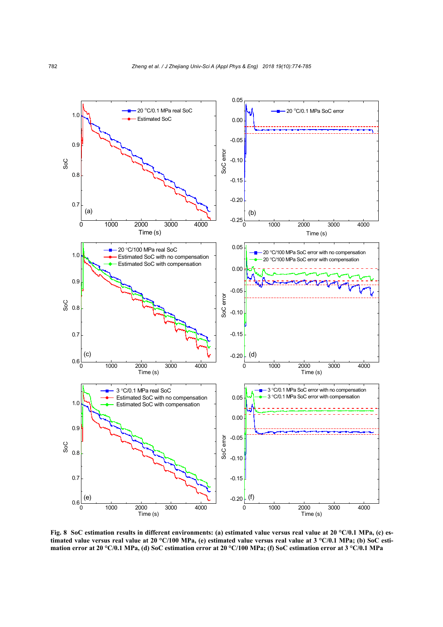

**Fig. 8 SoC estimation results in different environments: (a) estimated value versus real value at 20 °C/0.1 MPa, (c) estimated value versus real value at 20 °C/100 MPa, (e) estimated value versus real value at 3 °C/0.1 MPa; (b) SoC estimation error at 20 °C/0.1 MPa, (d) SoC estimation error at 20 °C/100 MPa; (f) SoC estimation error at 3 °C/0.1 MPa**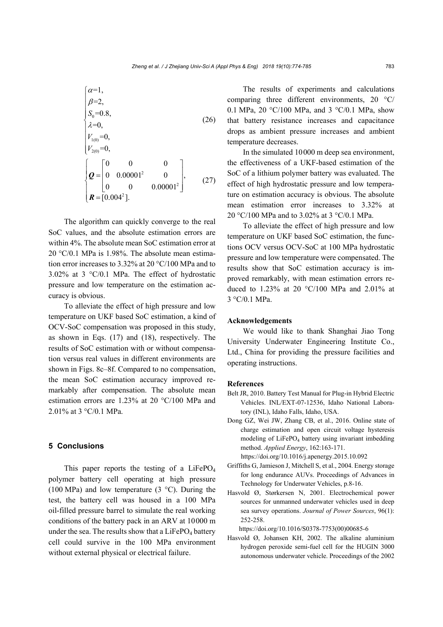$$
\begin{cases}\n\alpha=1, \\
\beta=2, \\
S_0=0.8, \\
\lambda=0, \\
V_{1(0)}=0, \\
V_{2(0)}=0, \\
Q=\begin{bmatrix} 0 & 0 & 0 \\ 0 & 0.00001^2 & 0 \\ 0 & 0 & 0.00001^2 \end{bmatrix}, \\
R=[0.004^2].\n\end{cases}
$$
\n(27)

The algorithm can quickly converge to the real SoC values, and the absolute estimation errors are within 4%. The absolute mean SoC estimation error at  $20 \text{ }^{\circ}C/0.1$  MPa is 1.98%. The absolute mean estimation error increases to 3.32% at 20 °C/100 MPa and to 3.02% at 3 °C/0.1 MPa. The effect of hydrostatic pressure and low temperature on the estimation accuracy is obvious.

To alleviate the effect of high pressure and low temperature on UKF based SoC estimation, a kind of OCV-SoC compensation was proposed in this study, as shown in Eqs. (17) and (18), respectively. The results of SoC estimation with or without compensation versus real values in different environments are shown in Figs. 8c–8f. Compared to no compensation, the mean SoC estimation accuracy improved remarkably after compensation. The absolute mean estimation errors are 1.23% at 20 °C/100 MPa and 2.01% at 3 °C/0.1 MPa.

#### **5 Conclusions**

This paper reports the testing of a  $LiFePO<sub>4</sub>$ polymer battery cell operating at high pressure (100 MPa) and low temperature (3 $\degree$ C). During the test, the battery cell was housed in a 100 MPa oil-filled pressure barrel to simulate the real working conditions of the battery pack in an ARV at 10000 m under the sea. The results show that a  $LiFePO<sub>4</sub>$  battery cell could survive in the 100 MPa environment without external physical or electrical failure.

The results of experiments and calculations comparing three different environments, 20 °C/ 0.1 MPa, 20 °C/100 MPa, and 3 °C/0.1 MPa, show that battery resistance increases and capacitance drops as ambient pressure increases and ambient temperature decreases.

In the simulated 10000 m deep sea environment, the effectiveness of a UKF-based estimation of the SoC of a lithium polymer battery was evaluated. The effect of high hydrostatic pressure and low temperature on estimation accuracy is obvious. The absolute mean estimation error increases to 3.32% at 20 °C/100 MPa and to 3.02% at 3 °C/0.1 MPa.

To alleviate the effect of high pressure and low temperature on UKF based SoC estimation, the functions OCV versus OCV-SoC at 100 MPa hydrostatic pressure and low temperature were compensated. The results show that SoC estimation accuracy is improved remarkably, with mean estimation errors reduced to 1.23% at 20 °C/100 MPa and 2.01% at  $3 \degree C / 0.1 \text{ MPa}$ 

### **Acknowledgements**

We would like to thank Shanghai Jiao Tong University Underwater Engineering Institute Co., Ltd., China for providing the pressure facilities and operating instructions.

#### **References**

- Belt JR, 2010. Battery Test Manual for Plug-in Hybrid Electric Vehicles. INL/EXT-07-12536, Idaho National Laboratory (INL), Idaho Falls, Idaho, USA.
- Dong GZ, Wei JW, Zhang CB, et al., 2016. Online state of charge estimation and open circuit voltage hysteresis modeling of  $LiFePO<sub>4</sub>$  battery using invariant imbedding method. *Applied Energy*, 162:163-171.

https://doi.org/10.1016/j.apenergy.2015.10.092

- Griffiths G, Jamieson J, Mitchell S, et al., 2004. Energy storage for long endurance AUVs. Proceedings of Advances in Technology for Underwater Vehicles, p.8-16.
- Hasvold Ø, Størkersen N, 2001. Electrochemical power sources for unmanned underwater vehicles used in deep sea survey operations. *Journal of Power Sources*, 96(1): 252-258.

https://doi.org/10.1016/S0378-7753(00)00685-6

Hasvold Ø, Johansen KH, 2002. The alkaline aluminium hydrogen peroxide semi-fuel cell for the HUGIN 3000 autonomous underwater vehicle. Proceedings of the 2002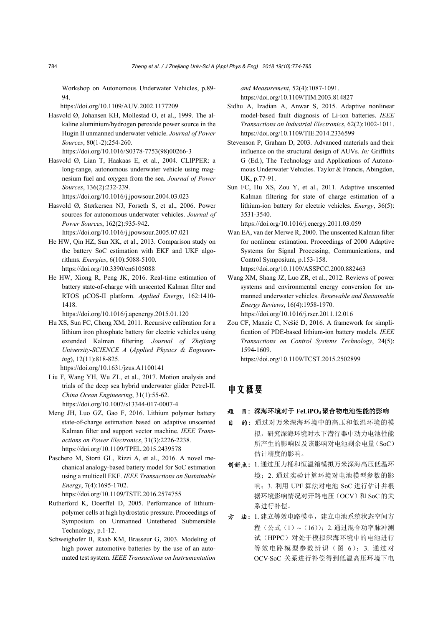Workshop on Autonomous Underwater Vehicles, p.89- 94.

https://doi.org/10.1109/AUV.2002.1177209

Hasvold Ø, Johansen KH, Mollestad O, et al., 1999. The alkaline aluminium/hydrogen peroxide power source in the Hugin II unmanned underwater vehicle. *Journal of Power Sources*, 80(1-2):254-260. https://doi.org/10.1016/S0378-7753(98)00266-3

Hasvold Ø, Lian T, Haakaas E, et al., 2004. CLIPPER: a long-range, autonomous underwater vehicle using magnesium fuel and oxygen from the sea. *Journal of Power Sources*, 136(2):232-239.

https://doi.org/10.1016/j.jpowsour.2004.03.023

Hasvold Ø, Størkersen NJ, Forseth S, et al., 2006. Power sources for autonomous underwater vehicles. *Journal of Power Sources*, 162(2):935-942.

https://doi.org/10.1016/j.jpowsour.2005.07.021

- He HW, Qin HZ, Sun XK, et al., 2013. Comparison study on the battery SoC estimation with EKF and UKF algorithms. *Energies*, 6(10):5088-5100. https://doi.org/10.3390/en6105088
- He HW, Xiong R, Peng JK, 2016. Real-time estimation of battery state-of-charge with unscented Kalman filter and RTOS μCOS-II platform. *Applied Energy*, 162:1410- 1418.

https://doi.org/10.1016/j.apenergy.2015.01.120

Hu XS, Sun FC, Cheng XM, 2011. Recursive calibration for a lithium iron phosphate battery for electric vehicles using extended Kalman filtering. *Journal of Zhejiang University-SCIENCE A* (*Applied Physics & Engineering*), 12(11):818-825.

https://doi.org/10.1631/jzus.A1100141

- Liu F, Wang YH, Wu ZL, et al., 2017. Motion analysis and trials of the deep sea hybrid underwater glider Petrel-II. *China Ocean Engineering*, 31(1):55-62. https://doi.org/10.1007/s13344-017-0007-4
- Meng JH, Luo GZ, Gao F, 2016. Lithium polymer battery state-of-charge estimation based on adaptive unscented Kalman filter and support vector machine. *IEEE Transactions on Power Electronics*, 31(3):2226-2238. https://doi.org/10.1109/TPEL.2015.2439578
- Paschero M, Storti GL, Rizzi A, et al., 2016. A novel mechanical analogy-based battery model for SoC estimation using a multicell EKF. *IEEE Transactions on Sustainable Energy*, 7(4):1695-1702.

https://doi.org/10.1109/TSTE.2016.2574755

- Rutherford K, Doerffel D, 2005. Performance of lithiumpolymer cells at high hydrostatic pressure. Proceedings of Symposium on Unmanned Untethered Submersible Technology, p.1-12.
- Schweighofer B, Raab KM, Brasseur G, 2003. Modeling of high power automotive batteries by the use of an automated test system. *IEEE Transactions on Instrumentation*

*and Measurement*, 52(4):1087-1091. https://doi.org/10.1109/TIM.2003.814827

- Sidhu A, Izadian A, Anwar S, 2015. Adaptive nonlinear model-based fault diagnosis of Li-ion batteries. *IEEE Transactions on Industrial Electronics*, 62(2):1002-1011. https://doi.org/10.1109/TIE.2014.2336599
- Stevenson P, Graham D, 2003. Advanced materials and their influence on the structural design of AUVs. *In:* Griffiths G (Ed.), The Technology and Applications of Autonomous Underwater Vehicles. Taylor & Francis, Abingdon, UK, p.77-91.
- Sun FC, Hu XS, Zou Y, et al., 2011. Adaptive unscented Kalman filtering for state of charge estimation of a lithium-ion battery for electric vehicles. *Energy*, 36(5): 3531-3540.

https://doi.org/10.1016/j.energy.2011.03.059

Wan EA, van der Merwe R, 2000. The unscented Kalman filter for nonlinear estimation. Proceedings of 2000 Adaptive Systems for Signal Processing, Communications, and Control Symposium, p.153-158.

https://doi.org/10.1109/ASSPCC.2000.882463

Wang XM, Shang JZ, Luo ZR, et al., 2012. Reviews of power systems and environmental energy conversion for unmanned underwater vehicles. *Renewable and Sustainable Energy Reviews*, 16(4):1958-1970.

https://doi.org/10.1016/j.rser.2011.12.016

Zou CF, Manzie C, Nešić D, 2016. A framework for simplification of PDE-based lithium-ion battery models. *IEEE Transactions on Control Systems Technology*, 24(5): 1594-1609.

https://doi.org/10.1109/TCST.2015.2502899

# 中文概要

#### 题 目:深海环境对于 **FeLiPO4**聚合物电池性能的影响

- 目 的:通过对万米深海环境中的高压和低温环境的模 拟,研究深海环境对水下潜行器中动力电池性能 所产生的影响以及该影响对电池剩余电量(SoC) 估计精度的影响。
- 创新点:1. 通过压力桶和恒温箱模拟万米深海高压低温环 境;2. 通过实验计算环境对电池模型参数的影 响;3. 利用 UPF 算法对电池 SoC 进行估计并根 据环境影响情况对开路电压(OCV)和 SoC 的关 系进行补偿。
- 方 法: 1. 建立等效电路模型, 建立电池系统状态空间方 程(公式(1) ~(16)); 2. 通过混合功率脉冲测 试(HPPC)对处于模拟深海环境中的电池进行 等效电路模型参数辨识(图 6); 3. 通过对 OCV-SoC 关系进行补偿得到低温高压环境下电